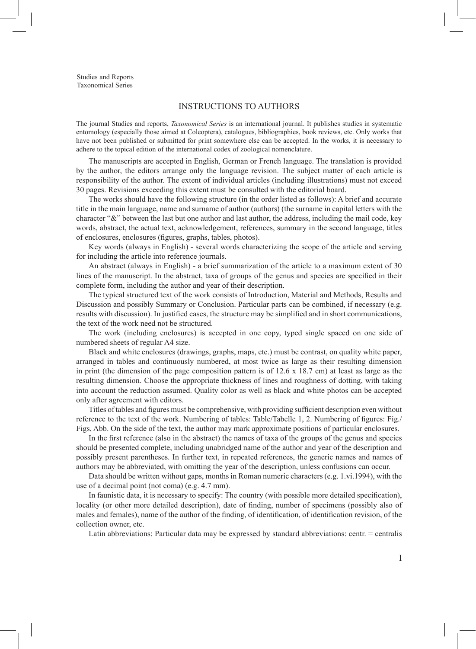Studies and Reports Taxonomical Series

## Instructions to authors

The journal Studies and reports, *Taxonomical Series* is an international journal. It publishes studies in systematic entomology (especially those aimed at Coleoptera), catalogues, bibliographies, book reviews, etc. Only works that have not been published or submitted for print somewhere else can be accepted. In the works, it is necessary to adhere to the topical edition of the international codex of zoological nomenclature.

The manuscripts are accepted in English, German or French language. The translation is provided by the author, the editors arrange only the language revision. The subject matter of each article is responsibility of the author. The extent of individual articles (including illustrations) must not exceed 30 pages. Revisions exceeding this extent must be consulted with the editorial board.

The works should have the following structure (in the order listed as follows): A brief and accurate title in the main language, name and surname of author (authors) (the surname in capital letters with the character "&" between the last but one author and last author, the address, including the mail code, key words, abstract, the actual text, acknowledgement, references, summary in the second language, titles of enclosures, enclosures (figures, graphs, tables, photos).

Key words (always in English) - several words characterizing the scope of the article and serving for including the article into reference journals.

An abstract (always in English) - a brief summarization of the article to a maximum extent of 30 lines of the manuscript. In the abstract, taxa of groups of the genus and species are specified in their complete form, including the author and year of their description.

The typical structured text of the work consists of Introduction, Material and Methods, Results and Discussion and possibly Summary or Conclusion. Particular parts can be combined, if necessary (e.g. results with discussion). In justified cases, the structure may be simplified and in short communications, the text of the work need not be structured.

The work (including enclosures) is accepted in one copy, typed single spaced on one side of numbered sheets of regular A4 size.

Black and white enclosures (drawings, graphs, maps, etc.) must be contrast, on quality white paper, arranged in tables and continuously numbered, at most twice as large as their resulting dimension in print (the dimension of the page composition pattern is of 12.6 x 18.7 cm) at least as large as the resulting dimension. Choose the appropriate thickness of lines and roughness of dotting, with taking into account the reduction assumed. Quality color as well as black and white photos can be accepted only after agreement with editors.

Titles of tables and figures must be comprehensive, with providing sufficient description even without reference to the text of the work. Numbering of tables: Table/Tabelle 1, 2. Numbering of figures: Fig./ Figs, Abb. On the side of the text, the author may mark approximate positions of particular enclosures.

In the first reference (also in the abstract) the names of taxa of the groups of the genus and species should be presented complete, including unabridged name of the author and year of the description and possibly present parentheses. In further text, in repeated references, the generic names and names of authors may be abbreviated, with omitting the year of the description, unless confusions can occur.

Data should be written without gaps, months in Roman numeric characters (e.g. 1.vi.1994), with the use of a decimal point (not coma) (e.g. 4.7 mm).

In faunistic data, it is necessary to specify: The country (with possible more detailed specification), locality (or other more detailed description), date of finding, number of specimens (possibly also of males and females), name of the author of the finding, of identification, of identification revision, of the collection owner, etc.

Latin abbreviations: Particular data may be expressed by standard abbreviations: centr. = centralis